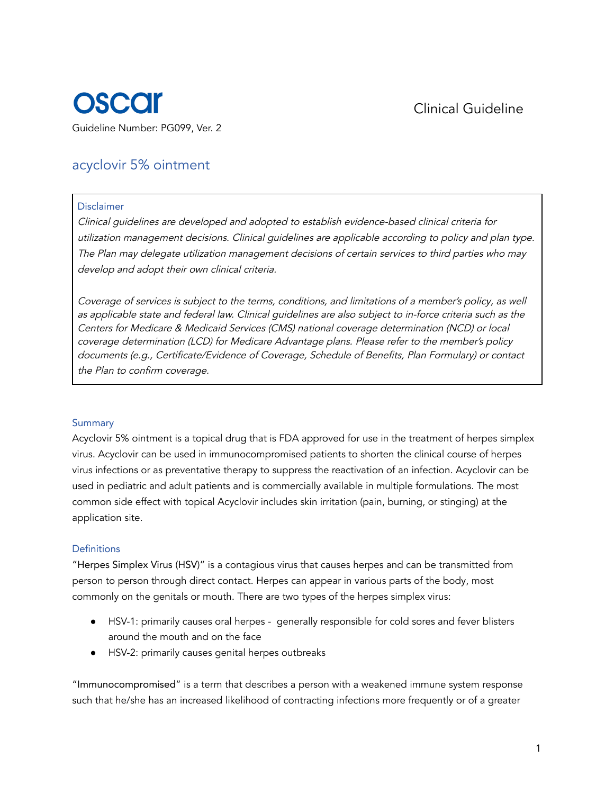

# acyclovir 5% ointment

#### Disclaimer

Clinical guidelines are developed and adopted to establish evidence-based clinical criteria for utilization management decisions. Clinical guidelines are applicable according to policy and plan type. The Plan may delegate utilization management decisions of certain services to third parties who may develop and adopt their own clinical criteria.

Coverage of services is subject to the terms, conditions, and limitations of <sup>a</sup> member's policy, as well as applicable state and federal law. Clinical guidelines are also subject to in-force criteria such as the Centers for Medicare & Medicaid Services (CMS) national coverage determination (NCD) or local coverage determination (LCD) for Medicare Advantage plans. Please refer to the member's policy documents (e.g., Certificate/Evidence of Coverage, Schedule of Benefits, Plan Formulary) or contact the Plan to confirm coverage.

#### Summary

Acyclovir 5% ointment is a topical drug that is FDA approved for use in the treatment of herpes simplex virus. Acyclovir can be used in immunocompromised patients to shorten the clinical course of herpes virus infections or as preventative therapy to suppress the reactivation of an infection. Acyclovir can be used in pediatric and adult patients and is commercially available in multiple formulations. The most common side effect with topical Acyclovir includes skin irritation (pain, burning, or stinging) at the application site.

### Definitions

"Herpes Simplex Virus (HSV)" is a contagious virus that causes herpes and can be transmitted from person to person through direct contact. Herpes can appear in various parts of the body, most commonly on the genitals or mouth. There are two types of the herpes simplex virus:

- HSV-1: primarily causes oral herpes generally responsible for cold sores and fever blisters around the mouth and on the face
- HSV-2: primarily causes genital herpes outbreaks

"Immunocompromised" is a term that describes a person with a weakened immune system response such that he/she has an increased likelihood of contracting infections more frequently or of a greater